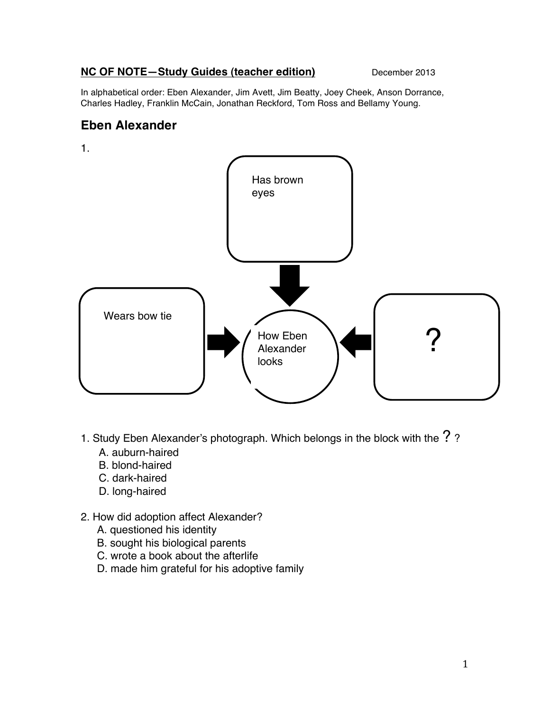## **NC OF NOTE-Study Guides (teacher edition)** December 2013

In alphabetical order: Eben Alexander, Jim Avett, Jim Beatty, Joey Cheek, Anson Dorrance, Charles Hadley, Franklin McCain, Jonathan Reckford, Tom Ross and Bellamy Young.

# **Eben Alexander**



- 1. Study Eben Alexander's photograph. Which belongs in the block with the  $?$  ?
	- A. auburn-haired
	- B. blond-haired
	- C. dark-haired
	- D. long-haired
- 2. How did adoption affect Alexander?
	- A. questioned his identity
	- B. sought his biological parents
	- C. wrote a book about the afterlife
	- D. made him grateful for his adoptive family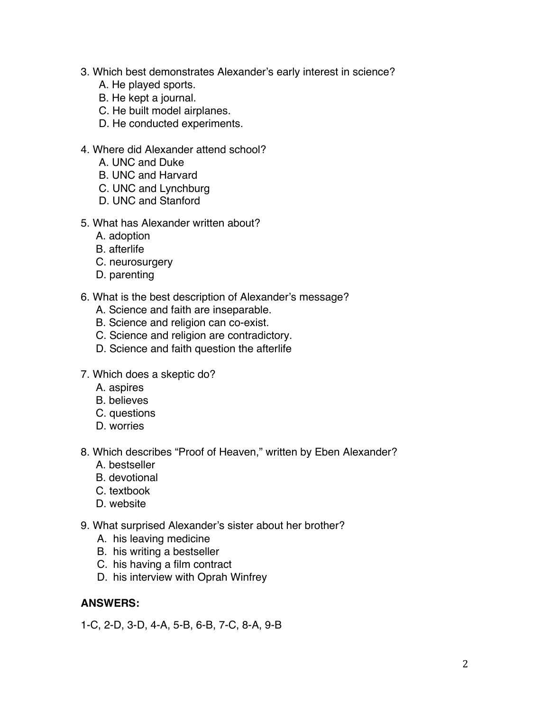- 3. Which best demonstrates Alexander's early interest in science?
	- A. He played sports.
	- B. He kept a journal.
	- C. He built model airplanes.
	- D. He conducted experiments.
- 4. Where did Alexander attend school?
	- A. UNC and Duke
	- B. UNC and Harvard
	- C. UNC and Lynchburg
	- D. UNC and Stanford
- 5. What has Alexander written about?
	- A. adoption
	- B. afterlife
	- C. neurosurgery
	- D. parenting
- 6. What is the best description of Alexander's message?
	- A. Science and faith are inseparable.
	- B. Science and religion can co-exist.
	- C. Science and religion are contradictory.
	- D. Science and faith question the afterlife
- 7. Which does a skeptic do?
	- A. aspires
	- B. believes
	- C. questions
	- D. worries
- 8. Which describes "Proof of Heaven," written by Eben Alexander?
	- A. bestseller
	- B. devotional
	- C. textbook
	- D. website
- 9. What surprised Alexander's sister about her brother?
	- A. his leaving medicine
	- B. his writing a bestseller
	- C. his having a film contract
	- D. his interview with Oprah Winfrey

## **ANSWERS:**

1-C, 2-D, 3-D, 4-A, 5-B, 6-B, 7-C, 8-A, 9-B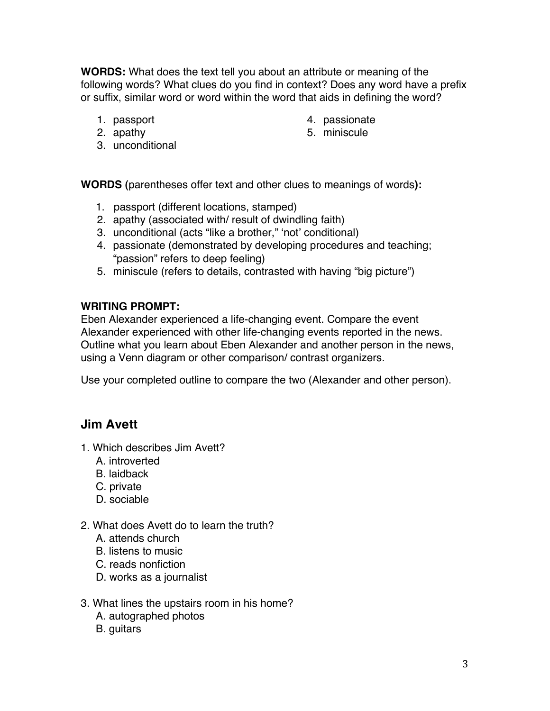**WORDS:** What does the text tell you about an attribute or meaning of the following words? What clues do you find in context? Does any word have a prefix or suffix, similar word or word within the word that aids in defining the word?

> 4. passionate 5. miniscule

- 1. passport
- 2. apathy
- 3. unconditional

**WORDS (**parentheses offer text and other clues to meanings of words**):**

- 1.passport (different locations, stamped)
- 2. apathy (associated with/ result of dwindling faith)
- 3. unconditional (acts "like a brother," ʻnot' conditional)
- 4. passionate (demonstrated by developing procedures and teaching; "passion" refers to deep feeling)
- 5. miniscule (refers to details, contrasted with having "big picture")

## **WRITING PROMPT:**

Eben Alexander experienced a life-changing event. Compare the event Alexander experienced with other life-changing events reported in the news. Outline what you learn about Eben Alexander and another person in the news, using a Venn diagram or other comparison/ contrast organizers.

Use your completed outline to compare the two (Alexander and other person).

# **Jim Avett**

- 1. Which describes Jim Avett?
	- A. introverted
	- B. laidback
	- C. private
	- D. sociable
- 2. What does Avett do to learn the truth?
	- A. attends church
	- B. listens to music
	- C. reads nonfiction
	- D. works as a journalist
- 3. What lines the upstairs room in his home?
	- A. autographed photos
	- B. guitars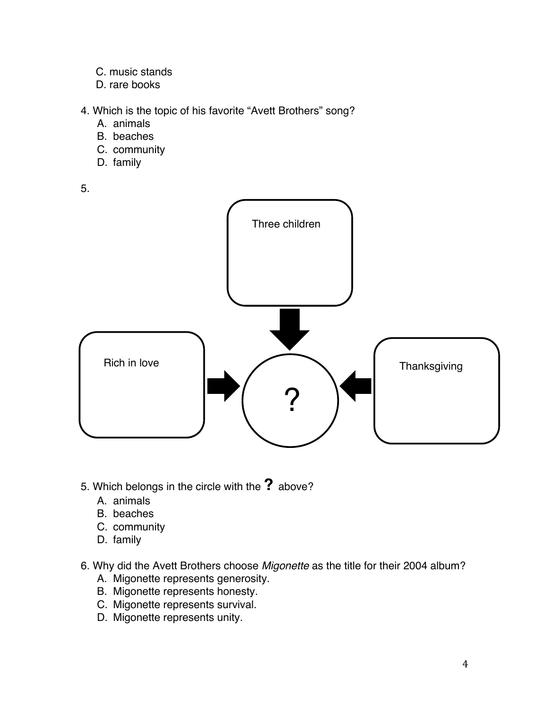- C. music stands
- D. rare books
- 4. Which is the topic of his favorite "Avett Brothers" song?
	- A. animals
	- B. beaches
	- C. community
	- D. family

5.



- 5. Which belongs in the circle with the **?** above?
	- A. animals
	- B. beaches
	- C. community
	- D. family
- 6. Why did the Avett Brothers choose *Migonette* as the title for their 2004 album?
	- A. Migonette represents generosity.
	- B. Migonette represents honesty.
	- C. Migonette represents survival.
	- D. Migonette represents unity.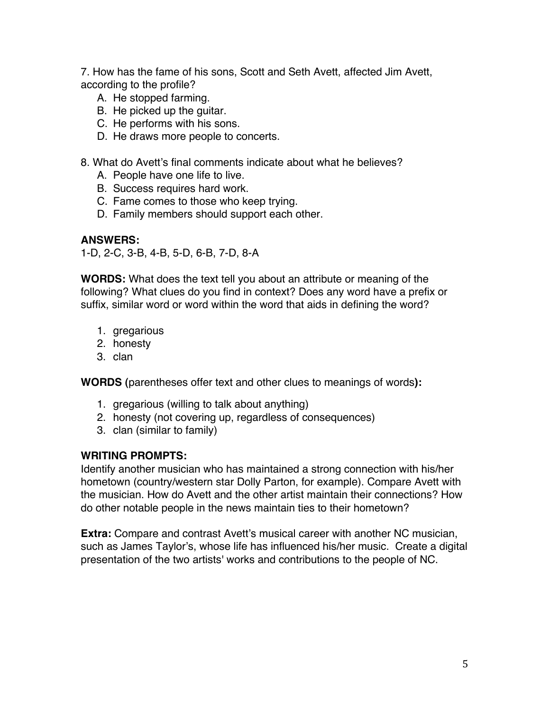7. How has the fame of his sons, Scott and Seth Avett, affected Jim Avett, according to the profile?

- A. He stopped farming.
- B. He picked up the guitar.
- C. He performs with his sons.
- D. He draws more people to concerts.

8. What do Avett's final comments indicate about what he believes?

- A. People have one life to live.
- B. Success requires hard work.
- C. Fame comes to those who keep trying.
- D. Family members should support each other.

### **ANSWERS:**

1-D, 2-C, 3-B, 4-B, 5-D, 6-B, 7-D, 8-A

**WORDS:** What does the text tell you about an attribute or meaning of the following? What clues do you find in context? Does any word have a prefix or suffix, similar word or word within the word that aids in defining the word?

- 1. gregarious
- 2. honesty
- 3. clan

**WORDS (**parentheses offer text and other clues to meanings of words**):**

- 1. gregarious (willing to talk about anything)
- 2. honesty (not covering up, regardless of consequences)
- 3. clan (similar to family)

## **WRITING PROMPTS:**

Identify another musician who has maintained a strong connection with his/her hometown (country/western star Dolly Parton, for example). Compare Avett with the musician. How do Avett and the other artist maintain their connections? How do other notable people in the news maintain ties to their hometown?

**Extra:** Compare and contrast Avett's musical career with another NC musician, such as James Taylor's, whose life has influenced his/her music. Create a digital presentation of the two artists' works and contributions to the people of NC.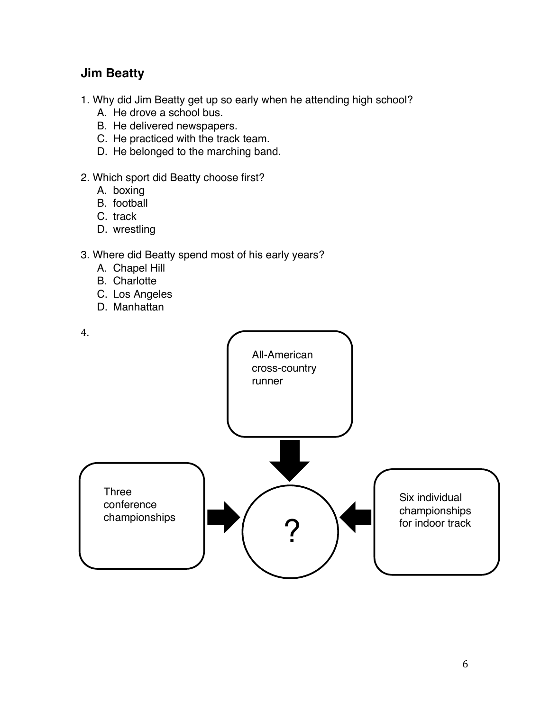# **Jim Beatty**

- 1. Why did Jim Beatty get up so early when he attending high school?
	- A. He drove a school bus.
	- B. He delivered newspapers.
	- C. He practiced with the track team.
	- D. He belonged to the marching band.
- 2. Which sport did Beatty choose first?
	- A. boxing
	- B. football
	- C. track
	- D. wrestling
- 3. Where did Beatty spend most of his early years?
	- A. Chapel Hill
	- B. Charlotte
	- C. Los Angeles
	- D. Manhattan

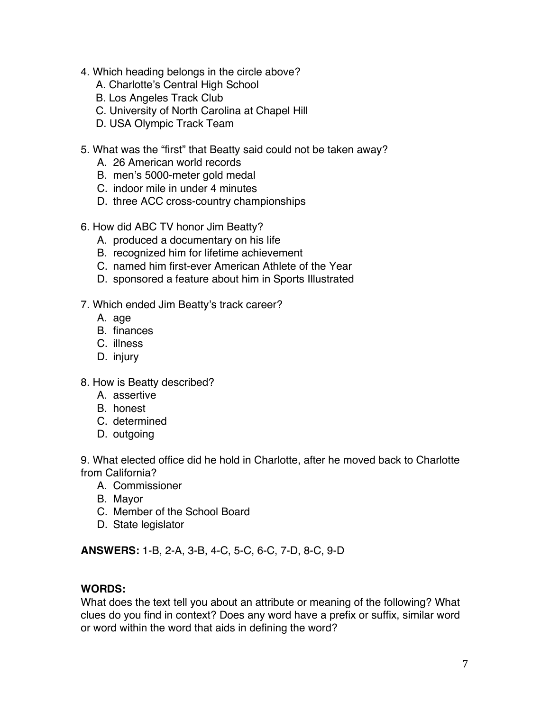- 4. Which heading belongs in the circle above?
	- A. Charlotte's Central High School
	- B. Los Angeles Track Club
	- C. University of North Carolina at Chapel Hill
	- D. USA Olympic Track Team
- 5. What was the "first" that Beatty said could not be taken away?
	- A. 26 American world records
	- B. men's 5000-meter gold medal
	- C. indoor mile in under 4 minutes
	- D. three ACC cross-country championships
- 6. How did ABC TV honor Jim Beatty?
	- A. produced a documentary on his life
	- B. recognized him for lifetime achievement
	- C. named him first-ever American Athlete of the Year
	- D. sponsored a feature about him in Sports Illustrated

#### 7. Which ended Jim Beatty's track career?

- A. age
- B. finances
- C. illness
- D. injury
- 8. How is Beatty described?
	- A. assertive
	- B. honest
	- C. determined
	- D. outgoing

9. What elected office did he hold in Charlotte, after he moved back to Charlotte from California?

- A. Commissioner
- B. Mayor
- C. Member of the School Board
- D. State legislator

**ANSWERS:** 1-B, 2-A, 3-B, 4-C, 5-C, 6-C, 7-D, 8-C, 9-D

## **WORDS:**

What does the text tell you about an attribute or meaning of the following? What clues do you find in context? Does any word have a prefix or suffix, similar word or word within the word that aids in defining the word?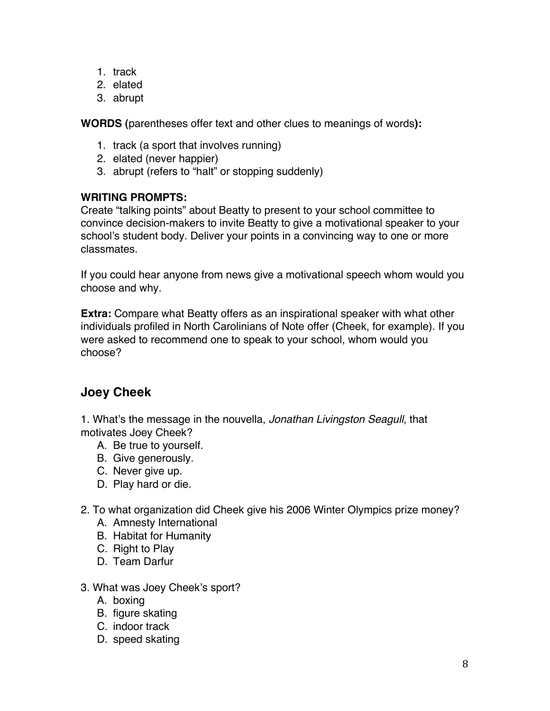- 1. track
- 2. elated
- 3. abrupt

**WORDS (**parentheses offer text and other clues to meanings of words**):**

- 1. track (a sport that involves running)
- 2. elated (never happier)
- 3. abrupt (refers to "halt" or stopping suddenly)

## **WRITING PROMPTS:**

Create "talking points" about Beatty to present to your school committee to convince decision-makers to invite Beatty to give a motivational speaker to your school's student body. Deliver your points in a convincing way to one or more classmates.

If you could hear anyone from news give a motivational speech whom would you choose and why.

**Extra:** Compare what Beatty offers as an inspirational speaker with what other individuals profiled in North Carolinians of Note offer (Cheek, for example). If you were asked to recommend one to speak to your school, whom would you choose?

# **Joey Cheek**

1. What's the message in the nouvella, *Jonathan Livingston Seagull*, that motivates Joey Cheek?

- A. Be true to yourself.
- B. Give generously.
- C. Never give up.
- D. Play hard or die.
- 2. To what organization did Cheek give his 2006 Winter Olympics prize money?
	- A. Amnesty International
	- B. Habitat for Humanity
	- C. Right to Play
	- D. Team Darfur
- 3. What was Joey Cheek's sport?
	- A. boxing
	- B. figure skating
	- C. indoor track
	- D. speed skating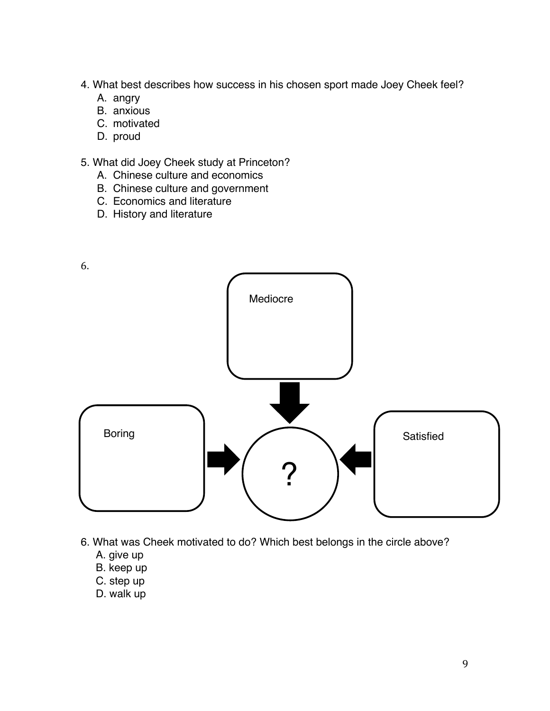- 4. What best describes how success in his chosen sport made Joey Cheek feel?
	- A. angry
	- B. anxious
	- C. motivated
	- D. proud
- 5. What did Joey Cheek study at Princeton?
	- A. Chinese culture and economics
	- B. Chinese culture and government
	- C. Economics and literature
	- D. History and literature



- 6. What was Cheek motivated to do? Which best belongs in the circle above?
	- A. give up
	- B. keep up
	- C. step up
	- D. walk up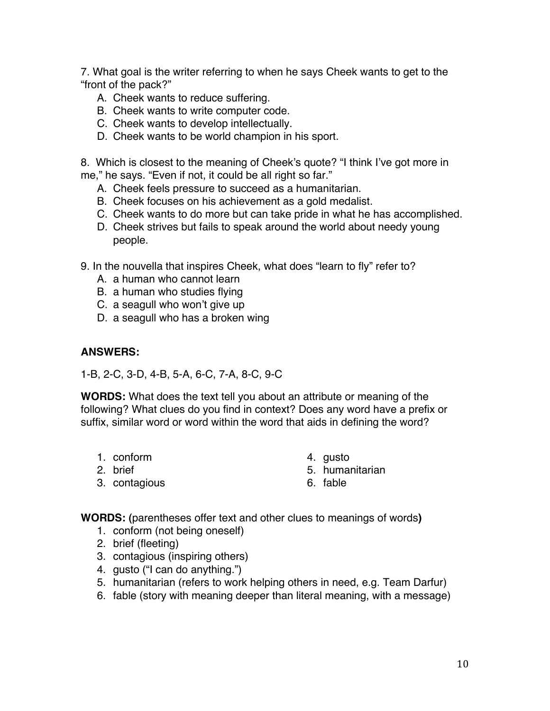7. What goal is the writer referring to when he says Cheek wants to get to the "front of the pack?"

- A. Cheek wants to reduce suffering.
- B. Cheek wants to write computer code.
- C. Cheek wants to develop intellectually.
- D. Cheek wants to be world champion in his sport.

8. Which is closest to the meaning of Cheek's quote? "I think I've got more in me," he says. "Even if not, it could be all right so far."

- A. Cheek feels pressure to succeed as a humanitarian.
- B. Cheek focuses on his achievement as a gold medalist.
- C. Cheek wants to do more but can take pride in what he has accomplished.
- D. Cheek strives but fails to speak around the world about needy young people.
- 9. In the nouvella that inspires Cheek, what does "learn to fly" refer to?
	- A. a human who cannot learn
	- B. a human who studies flying
	- C. a seagull who won't give up
	- D. a seagull who has a broken wing

### **ANSWERS:**

1-B, 2-C, 3-D, 4-B, 5-A, 6-C, 7-A, 8-C, 9-C

**WORDS:** What does the text tell you about an attribute or meaning of the following? What clues do you find in context? Does any word have a prefix or suffix, similar word or word within the word that aids in defining the word?

- 1. conform
- 2. brief
- 3. contagious
- 4. gusto
- 5. humanitarian
- 6. fable

**WORDS: (**parentheses offer text and other clues to meanings of words**)** 

- 1. conform (not being oneself)
- 2. brief (fleeting)
- 3. contagious (inspiring others)
- 4. gusto ("I can do anything.")
- 5. humanitarian (refers to work helping others in need, e.g. Team Darfur)
- 6. fable (story with meaning deeper than literal meaning, with a message)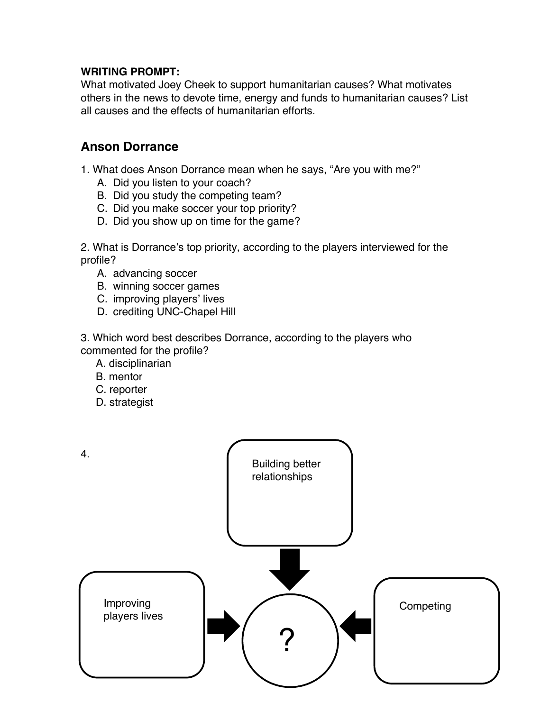## **WRITING PROMPT:**

What motivated Joey Cheek to support humanitarian causes? What motivates others in the news to devote time, energy and funds to humanitarian causes? List all causes and the effects of humanitarian efforts.

## **Anson Dorrance**

1. What does Anson Dorrance mean when he says, "Are you with me?"

- A. Did you listen to your coach?
- B. Did you study the competing team?
- C. Did you make soccer your top priority?
- D. Did you show up on time for the game?

2. What is Dorrance's top priority, according to the players interviewed for the profile?

- A. advancing soccer
- B. winning soccer games
- C. improving players' lives
- D. crediting UNC-Chapel Hill

3. Which word best describes Dorrance, according to the players who commented for the profile?

- A. disciplinarian
- B. mentor
- C. reporter
- D. strategist

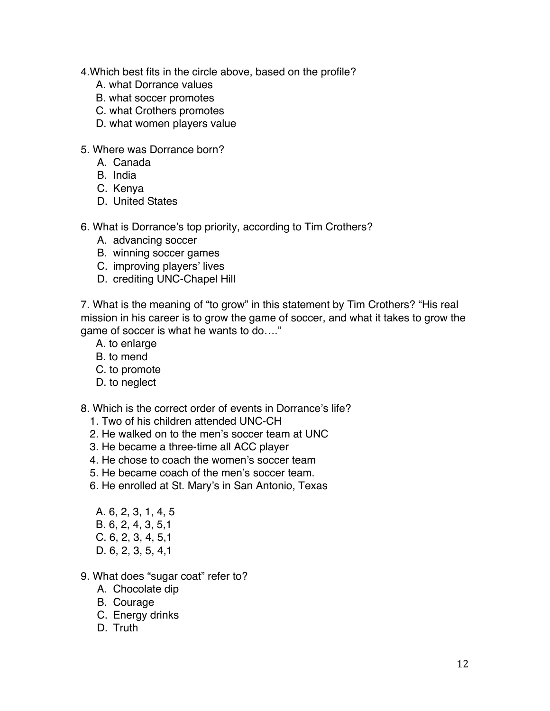4.Which best fits in the circle above, based on the profile?

- A. what Dorrance values
- B. what soccer promotes
- C. what Crothers promotes
- D. what women players value
- 5. Where was Dorrance born?
	- A. Canada
	- B. India
	- C. Kenya
	- D. United States
- 6. What is Dorrance's top priority, according to Tim Crothers?
	- A. advancing soccer
	- B. winning soccer games
	- C. improving players' lives
	- D. crediting UNC-Chapel Hill

7. What is the meaning of "to grow" in this statement by Tim Crothers? "His real mission in his career is to grow the game of soccer, and what it takes to grow the game of soccer is what he wants to do…."

- A. to enlarge
- B. to mend
- C. to promote
- D. to neglect

8. Which is the correct order of events in Dorrance's life?

- 1. Two of his children attended UNC-CH
- 2. He walked on to the men's soccer team at UNC
- 3. He became a three-time all ACC player
- 4. He chose to coach the women's soccer team
- 5. He became coach of the men's soccer team.
- 6. He enrolled at St. Mary's in San Antonio, Texas
- A. 6, 2, 3, 1, 4, 5 B. 6, 2, 4, 3, 5,1 C. 6, 2, 3, 4, 5,1 D. 6, 2, 3, 5, 4,1
- 9. What does "sugar coat" refer to?
	- A. Chocolate dip
	- B. Courage
	- C. Energy drinks
	- D. Truth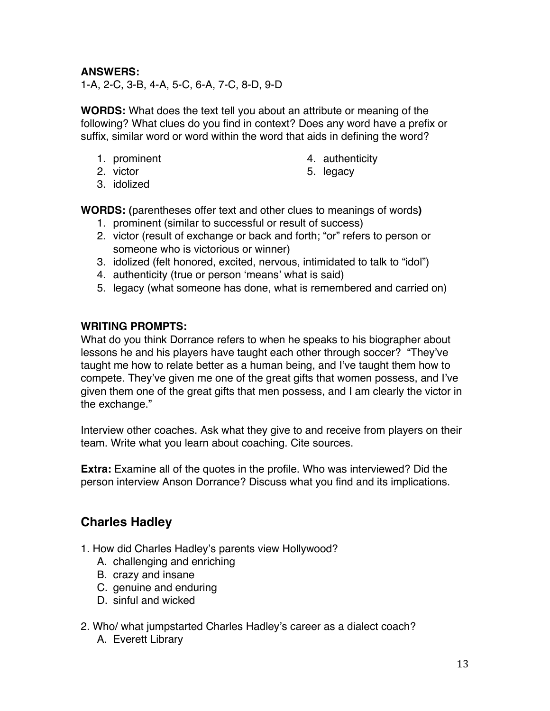## **ANSWERS:**

1-A, 2-C, 3-B, 4-A, 5-C, 6-A, 7-C, 8-D, 9-D

**WORDS:** What does the text tell you about an attribute or meaning of the following? What clues do you find in context? Does any word have a prefix or suffix, similar word or word within the word that aids in defining the word?

- 1. prominent
- 2. victor
- 4. authenticity
- 5. legacy

3. idolized

**WORDS: (**parentheses offer text and other clues to meanings of words**)** 

- 1. prominent (similar to successful or result of success)
- 2. victor (result of exchange or back and forth; "or" refers to person or someone who is victorious or winner)
- 3. idolized (felt honored, excited, nervous, intimidated to talk to "idol")
- 4. authenticity (true or person ʻmeans' what is said)
- 5. legacy (what someone has done, what is remembered and carried on)

### **WRITING PROMPTS:**

What do you think Dorrance refers to when he speaks to his biographer about lessons he and his players have taught each other through soccer? "They've taught me how to relate better as a human being, and I've taught them how to compete. They've given me one of the great gifts that women possess, and I've given them one of the great gifts that men possess, and I am clearly the victor in the exchange."

Interview other coaches. Ask what they give to and receive from players on their team. Write what you learn about coaching. Cite sources.

**Extra:** Examine all of the quotes in the profile. Who was interviewed? Did the person interview Anson Dorrance? Discuss what you find and its implications.

# **Charles Hadley**

- 1. How did Charles Hadley's parents view Hollywood?
	- A. challenging and enriching
	- B. crazy and insane
	- C. genuine and enduring
	- D. sinful and wicked
- 2. Who/ what jumpstarted Charles Hadley's career as a dialect coach?
	- A. Everett Library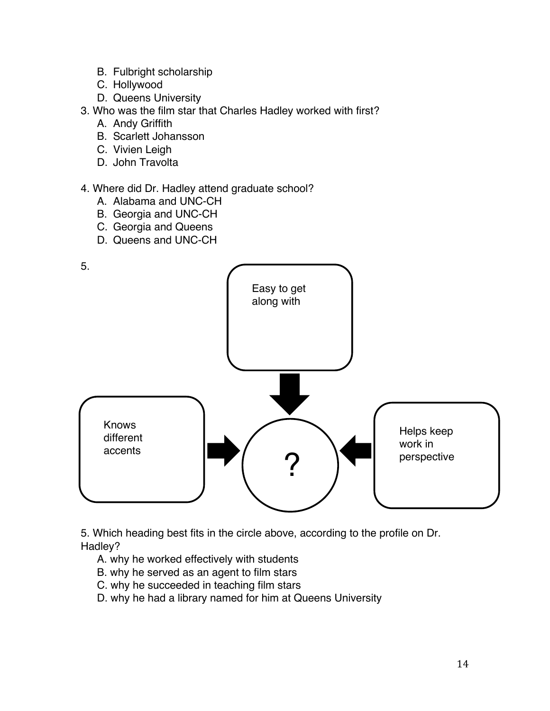- B. Fulbright scholarship
- C. Hollywood
- D. Queens University
- 3. Who was the film star that Charles Hadley worked with first?
	- A. Andy Griffith
	- B. Scarlett Johansson
	- C. Vivien Leigh
	- D. John Travolta

### 4. Where did Dr. Hadley attend graduate school?

- A. Alabama and UNC-CH
- B. Georgia and UNC-CH
- C. Georgia and Queens
- D. Queens and UNC-CH



5. Which heading best fits in the circle above, according to the profile on Dr. Hadley?

- A. why he worked effectively with students
- B. why he served as an agent to film stars
- C. why he succeeded in teaching film stars
- D. why he had a library named for him at Queens University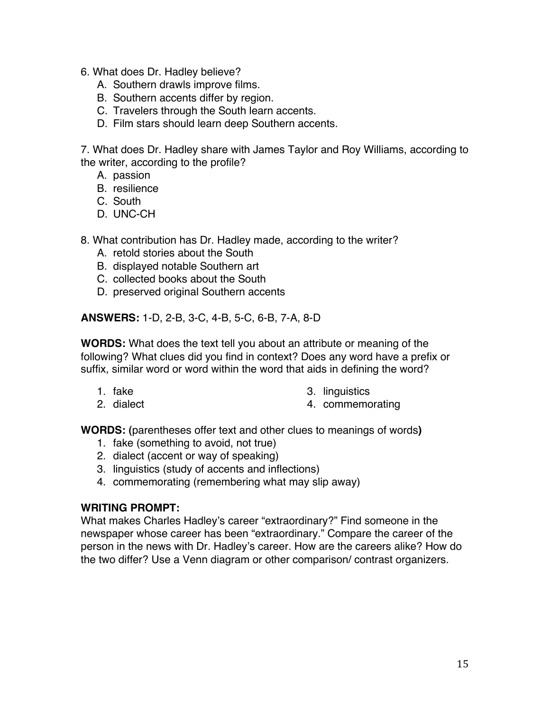- 6. What does Dr. Hadley believe?
	- A. Southern drawls improve films.
	- B. Southern accents differ by region.
	- C. Travelers through the South learn accents.
	- D. Film stars should learn deep Southern accents.

7. What does Dr. Hadley share with James Taylor and Roy Williams, according to the writer, according to the profile?

- A. passion
- B. resilience
- C. South
- D. UNC-CH
- 8. What contribution has Dr. Hadley made, according to the writer?
	- A. retold stories about the South
	- B. displayed notable Southern art
	- C. collected books about the South
	- D. preserved original Southern accents

**ANSWERS:** 1-D, 2-B, 3-C, 4-B, 5-C, 6-B, 7-A, 8-D

**WORDS:** What does the text tell you about an attribute or meaning of the following? What clues did you find in context? Does any word have a prefix or suffix, similar word or word within the word that aids in defining the word?

- 1. fake
- 2. dialect
- 3. linguistics
- 4. commemorating

**WORDS: (**parentheses offer text and other clues to meanings of words**)** 

- 1. fake (something to avoid, not true)
- 2. dialect (accent or way of speaking)
- 3. linguistics (study of accents and inflections)
- 4. commemorating (remembering what may slip away)

#### **WRITING PROMPT:**

What makes Charles Hadley's career "extraordinary?" Find someone in the newspaper whose career has been "extraordinary." Compare the career of the person in the news with Dr. Hadley's career. How are the careers alike? How do the two differ? Use a Venn diagram or other comparison/ contrast organizers.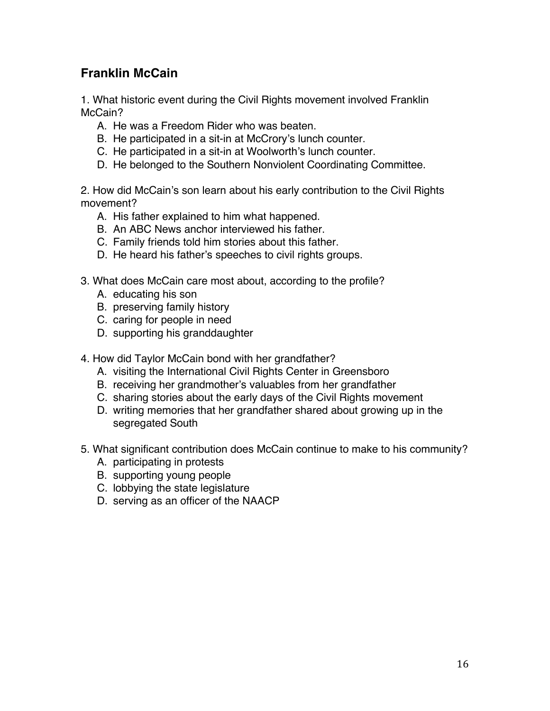# **Franklin McCain**

1. What historic event during the Civil Rights movement involved Franklin McCain?

- A. He was a Freedom Rider who was beaten.
- B. He participated in a sit-in at McCrory's lunch counter.
- C. He participated in a sit-in at Woolworth's lunch counter.
- D. He belonged to the Southern Nonviolent Coordinating Committee.

2. How did McCain's son learn about his early contribution to the Civil Rights movement?

- A. His father explained to him what happened.
- B. An ABC News anchor interviewed his father.
- C. Family friends told him stories about this father.
- D. He heard his father's speeches to civil rights groups.
- 3. What does McCain care most about, according to the profile?
	- A. educating his son
	- B. preserving family history
	- C. caring for people in need
	- D. supporting his granddaughter
- 4. How did Taylor McCain bond with her grandfather?
	- A. visiting the International Civil Rights Center in Greensboro
	- B. receiving her grandmother's valuables from her grandfather
	- C. sharing stories about the early days of the Civil Rights movement
	- D. writing memories that her grandfather shared about growing up in the segregated South
- 5. What significant contribution does McCain continue to make to his community?
	- A. participating in protests
	- B. supporting young people
	- C. lobbying the state legislature
	- D. serving as an officer of the NAACP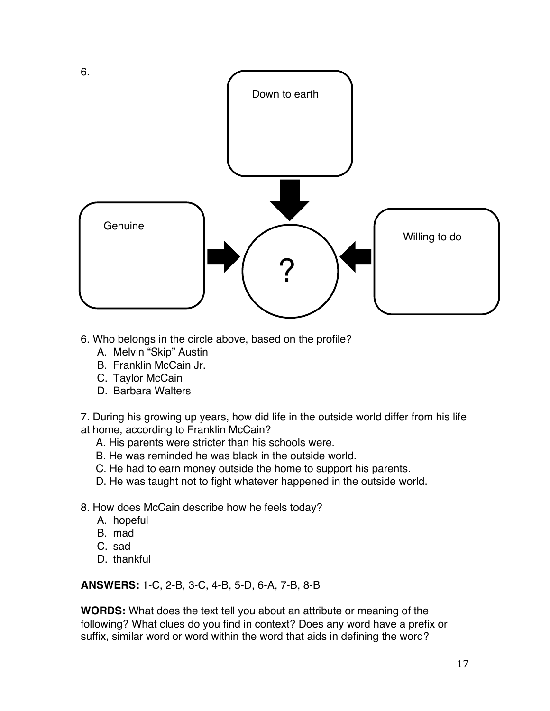

- 6. Who belongs in the circle above, based on the profile?
	- A. Melvin "Skip" Austin
	- B. Franklin McCain Jr.
	- C. Taylor McCain
	- D. Barbara Walters

7. During his growing up years, how did life in the outside world differ from his life at home, according to Franklin McCain?

- A. His parents were stricter than his schools were.
- B. He was reminded he was black in the outside world.
- C. He had to earn money outside the home to support his parents.
- D. He was taught not to fight whatever happened in the outside world.
- 8. How does McCain describe how he feels today?
	- A. hopeful
	- B. mad
	- C. sad
	- D. thankful

**ANSWERS:** 1-C, 2-B, 3-C, 4-B, 5-D, 6-A, 7-B, 8-B

**WORDS:** What does the text tell you about an attribute or meaning of the following? What clues do you find in context? Does any word have a prefix or suffix, similar word or word within the word that aids in defining the word?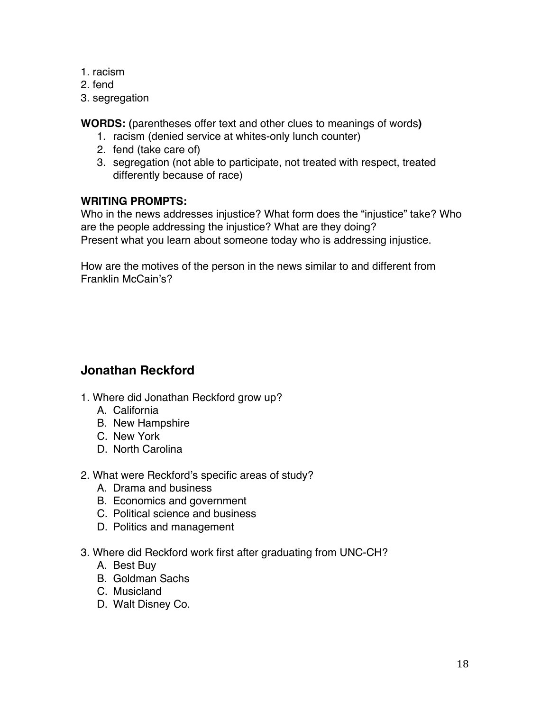- 1. racism
- 2. fend
- 3. segregation

**WORDS: (**parentheses offer text and other clues to meanings of words**)** 

- 1. racism (denied service at whites-only lunch counter)
- 2. fend (take care of)
- 3. segregation (not able to participate, not treated with respect, treated differently because of race)

## **WRITING PROMPTS:**

Who in the news addresses injustice? What form does the "injustice" take? Who are the people addressing the injustice? What are they doing? Present what you learn about someone today who is addressing injustice.

How are the motives of the person in the news similar to and different from Franklin McCain's?

# **Jonathan Reckford**

- 1. Where did Jonathan Reckford grow up?
	- A. California
	- B. New Hampshire
	- C. New York
	- D. North Carolina
- 2. What were Reckford's specific areas of study?
	- A. Drama and business
	- B. Economics and government
	- C. Political science and business
	- D. Politics and management
- 3. Where did Reckford work first after graduating from UNC-CH?
	- A. Best Buy
	- B. Goldman Sachs
	- C. Musicland
	- D. Walt Disney Co.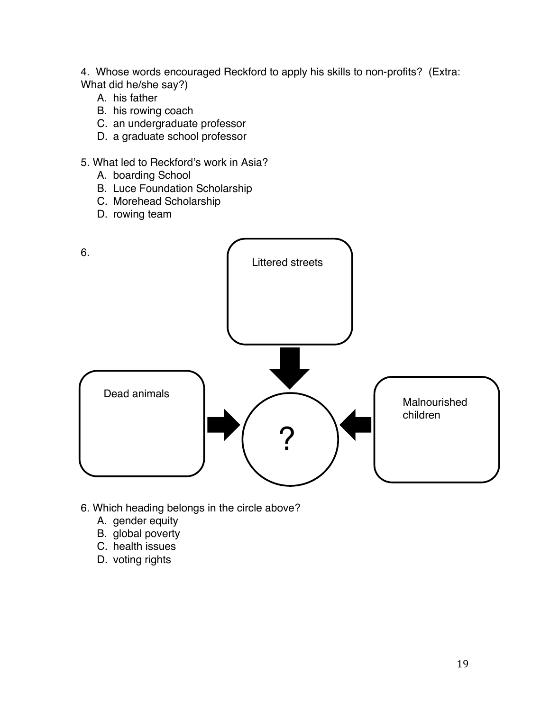4. Whose words encouraged Reckford to apply his skills to non-profits? (Extra: What did he/she say?)

- A. his father
- B. his rowing coach
- C. an undergraduate professor
- D. a graduate school professor
- 5. What led to Reckford's work in Asia?
	- A. boarding School
	- B. Luce Foundation Scholarship
	- C. Morehead Scholarship
	- D. rowing team



- 6. Which heading belongs in the circle above?
	- A. gender equity
	- B. global poverty
	- C. health issues
	- D. voting rights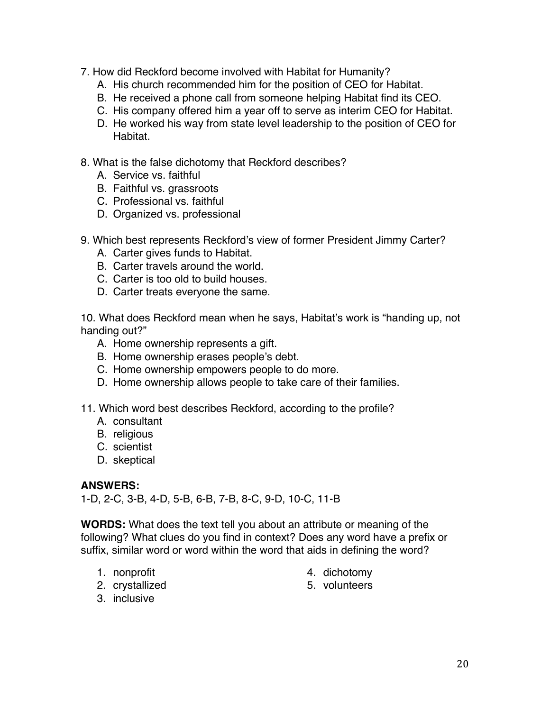- 7. How did Reckford become involved with Habitat for Humanity?
	- A. His church recommended him for the position of CEO for Habitat.
	- B. He received a phone call from someone helping Habitat find its CEO.
	- C. His company offered him a year off to serve as interim CEO for Habitat.
	- D. He worked his way from state level leadership to the position of CEO for Habitat.
- 8. What is the false dichotomy that Reckford describes?
	- A. Service vs. faithful
	- B. Faithful vs. grassroots
	- C. Professional vs. faithful
	- D. Organized vs. professional
- 9. Which best represents Reckford's view of former President Jimmy Carter?
	- A. Carter gives funds to Habitat.
	- B. Carter travels around the world.
	- C. Carter is too old to build houses.
	- D. Carter treats everyone the same.

10. What does Reckford mean when he says, Habitat's work is "handing up, not handing out?"

- A. Home ownership represents a gift.
- B. Home ownership erases people's debt.
- C. Home ownership empowers people to do more.
- D. Home ownership allows people to take care of their families.
- 11. Which word best describes Reckford, according to the profile?
	- A. consultant
	- B. religious
	- C. scientist
	- D. skeptical

## **ANSWERS:**

1-D, 2-C, 3-B, 4-D, 5-B, 6-B, 7-B, 8-C, 9-D, 10-C, 11-B

**WORDS:** What does the text tell you about an attribute or meaning of the following? What clues do you find in context? Does any word have a prefix or suffix, similar word or word within the word that aids in defining the word?

- 1. nonprofit
- 2. crystallized
- 4. dichotomy
- 5. volunteers

3. inclusive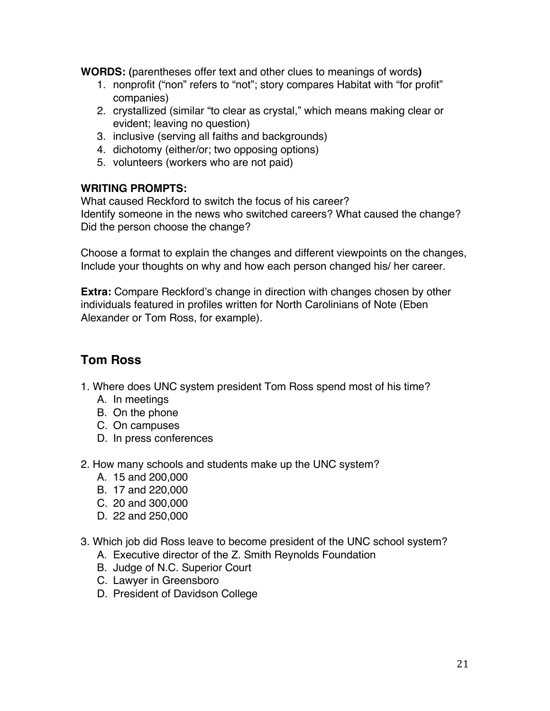**WORDS: (**parentheses offer text and other clues to meanings of words**)** 

- 1. nonprofit ("non" refers to "not"; story compares Habitat with "for profit" companies)
- 2. crystallized (similar "to clear as crystal," which means making clear or evident; leaving no question)
- 3. inclusive (serving all faiths and backgrounds)
- 4. dichotomy (either/or; two opposing options)
- 5. volunteers (workers who are not paid)

## **WRITING PROMPTS:**

What caused Reckford to switch the focus of his career? Identify someone in the news who switched careers? What caused the change? Did the person choose the change?

Choose a format to explain the changes and different viewpoints on the changes, Include your thoughts on why and how each person changed his/ her career.

**Extra:** Compare Reckford's change in direction with changes chosen by other individuals featured in profiles written for North Carolinians of Note (Eben Alexander or Tom Ross, for example).

# **Tom Ross**

- 1. Where does UNC system president Tom Ross spend most of his time?
	- A. In meetings
	- B. On the phone
	- C. On campuses
	- D. In press conferences
- 2. How many schools and students make up the UNC system?
	- A. 15 and 200,000
	- B. 17 and 220,000
	- C. 20 and 300,000
	- D. 22 and 250,000
- 3. Which job did Ross leave to become president of the UNC school system?
	- A. Executive director of the Z. Smith Reynolds Foundation
	- B. Judge of N.C. Superior Court
	- C. Lawyer in Greensboro
	- D. President of Davidson College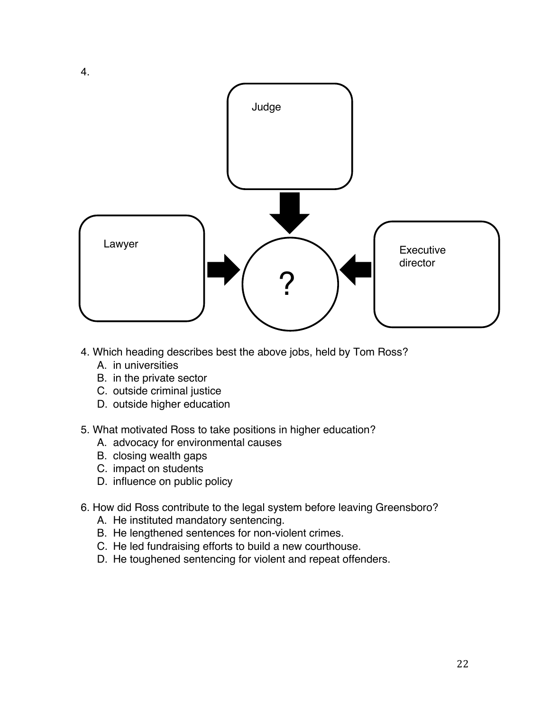

- 4. Which heading describes best the above jobs, held by Tom Ross?
	- A. in universities
	- B. in the private sector
	- C. outside criminal justice
	- D. outside higher education
- 5. What motivated Ross to take positions in higher education?
	- A. advocacy for environmental causes
	- B. closing wealth gaps
	- C. impact on students
	- D. influence on public policy
- 6. How did Ross contribute to the legal system before leaving Greensboro?
	- A. He instituted mandatory sentencing.
	- B. He lengthened sentences for non-violent crimes.
	- C. He led fundraising efforts to build a new courthouse.
	- D. He toughened sentencing for violent and repeat offenders.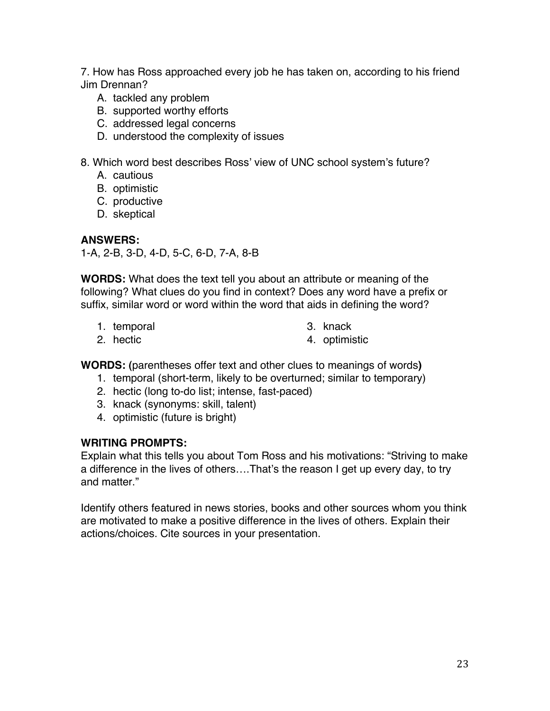7. How has Ross approached every job he has taken on, according to his friend Jim Drennan?

- A. tackled any problem
- B. supported worthy efforts
- C. addressed legal concerns
- D. understood the complexity of issues

8. Which word best describes Ross' view of UNC school system's future?

- A. cautious
- B. optimistic
- C. productive
- D. skeptical

### **ANSWERS:**

1-A, 2-B, 3-D, 4-D, 5-C, 6-D, 7-A, 8-B

**WORDS:** What does the text tell you about an attribute or meaning of the following? What clues do you find in context? Does any word have a prefix or suffix, similar word or word within the word that aids in defining the word?

1. temporal

3. knack

2. hectic

4. optimistic

**WORDS: (**parentheses offer text and other clues to meanings of words**)** 

- 1. temporal (short-term, likely to be overturned; similar to temporary)
- 2. hectic (long to-do list; intense, fast-paced)
- 3. knack (synonyms: skill, talent)
- 4. optimistic (future is bright)

## **WRITING PROMPTS:**

Explain what this tells you about Tom Ross and his motivations: "Striving to make a difference in the lives of others….That's the reason I get up every day, to try and matter."

Identify others featured in news stories, books and other sources whom you think are motivated to make a positive difference in the lives of others. Explain their actions/choices. Cite sources in your presentation.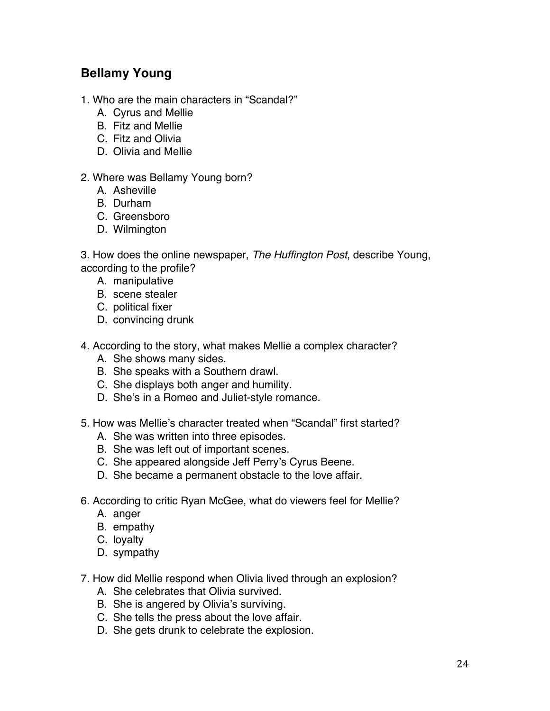# **Bellamy Young**

- 1. Who are the main characters in "Scandal?"
	- A. Cyrus and Mellie
	- B. Fitz and Mellie
	- C. Fitz and Olivia
	- D. Olivia and Mellie

### 2. Where was Bellamy Young born?

- A. Asheville
- B. Durham
- C. Greensboro
- D. Wilmington

3. How does the online newspaper, *The Huffington Post*, describe Young, according to the profile?

- A. manipulative
- B. scene stealer
- C. political fixer
- D. convincing drunk
- 4. According to the story, what makes Mellie a complex character?
	- A. She shows many sides.
	- B. She speaks with a Southern drawl.
	- C. She displays both anger and humility.
	- D. She's in a Romeo and Juliet-style romance.
- 5. How was Mellie's character treated when "Scandal" first started?
	- A. She was written into three episodes.
	- B. She was left out of important scenes.
	- C. She appeared alongside Jeff Perry's Cyrus Beene.
	- D. She became a permanent obstacle to the love affair.
- 6. According to critic Ryan McGee, what do viewers feel for Mellie?
	- A. anger
	- B. empathy
	- C. loyalty
	- D. sympathy
- 7. How did Mellie respond when Olivia lived through an explosion?
	- A. She celebrates that Olivia survived.
	- B. She is angered by Olivia's surviving.
	- C. She tells the press about the love affair.
	- D. She gets drunk to celebrate the explosion.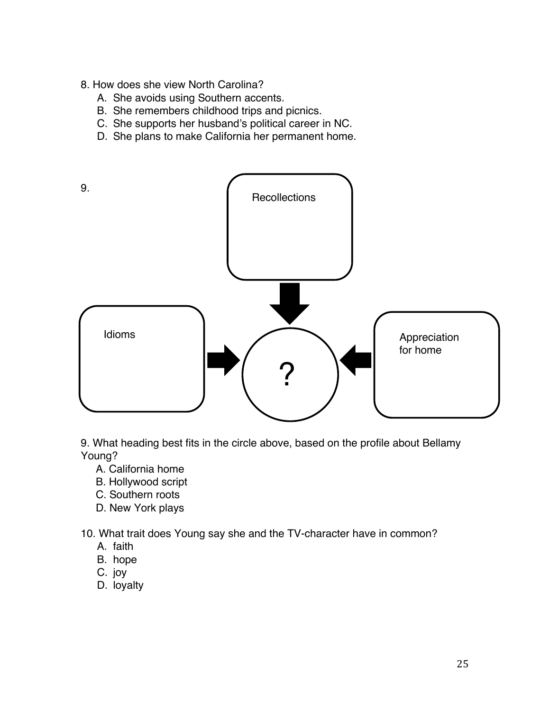- 8. How does she view North Carolina?
	- A. She avoids using Southern accents.
	- B. She remembers childhood trips and picnics.
	- C. She supports her husband's political career in NC.
	- D. She plans to make California her permanent home.



9. What heading best fits in the circle above, based on the profile about Bellamy Young?

- A. California home
- B. Hollywood script
- C. Southern roots
- D. New York plays

10. What trait does Young say she and the TV-character have in common?

- A. faith
- B. hope
- C. joy
- D. loyalty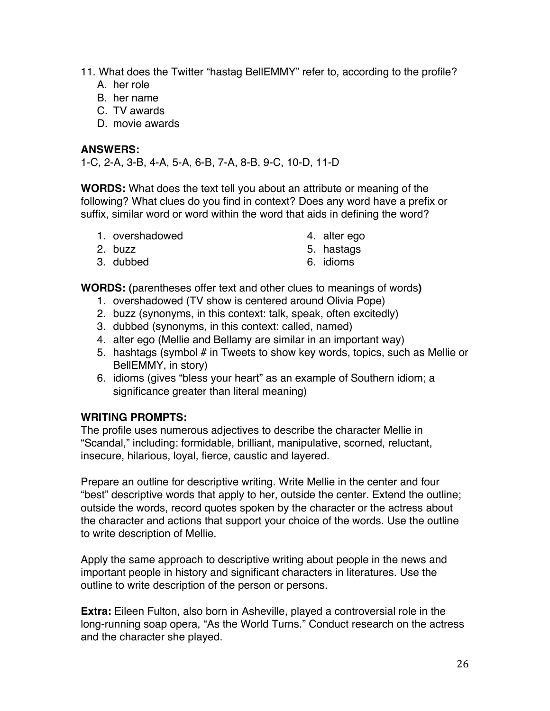- 11. What does the Twitter "hastag BellEMMY" refer to, according to the profile?
	- A. her role
	- B. her name
	- C. TV awards
	- D. movie awards

### **ANSWERS:**

1-C, 2-A, 3-B, 4-A, 5-A, 6-B, 7-A, 8-B, 9-C, 10-D, 11-D

**WORDS:** What does the text tell you about an attribute or meaning of the following? What clues do you find in context? Does any word have a prefix or suffix, similar word or word within the word that aids in defining the word?

1. overshadowed

4. alter ego

2. buzz

5. hastags

3. dubbed

6. idioms

**WORDS: (**parentheses offer text and other clues to meanings of words**)** 

- 1. overshadowed (TV show is centered around Olivia Pope)
- 2. buzz (synonyms, in this context: talk, speak, often excitedly)
- 3. dubbed (synonyms, in this context: called, named)
- 4. alter ego (Mellie and Bellamy are similar in an important way)
- 5. hashtags (symbol # in Tweets to show key words, topics, such as Mellie or BellEMMY, in story)
- 6. idioms (gives "bless your heart" as an example of Southern idiom; a significance greater than literal meaning)

## **WRITING PROMPTS:**

The profile uses numerous adjectives to describe the character Mellie in "Scandal," including: formidable, brilliant, manipulative, scorned, reluctant, insecure, hilarious, loyal, fierce, caustic and layered.

Prepare an outline for descriptive writing. Write Mellie in the center and four "best" descriptive words that apply to her, outside the center. Extend the outline; outside the words, record quotes spoken by the character or the actress about the character and actions that support your choice of the words. Use the outline to write description of Mellie.

Apply the same approach to descriptive writing about people in the news and important people in history and significant characters in literatures. Use the outline to write description of the person or persons.

**Extra:** Eileen Fulton, also born in Asheville, played a controversial role in the long-running soap opera, "As the World Turns." Conduct research on the actress and the character she played.